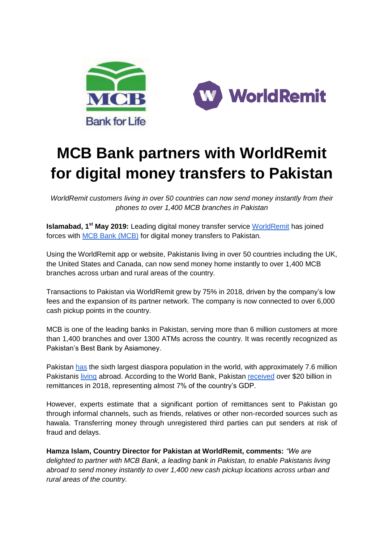



# **MCB Bank partners with WorldRemit for digital money transfers to Pakistan**

*WorldRemit customers living in over 50 countries can now send money instantly from their phones to over 1,400 MCB branches in Pakistan*

**Islamabad, 1<sup>st</sup> May 2019:** Leading digital money transfer service [WorldRemit](https://www.worldremit.com/) has joined forces with [MCB](https://www.mcb.com.pk/) Bank (MCB) for digital money transfers to Pakistan.

Using the WorldRemit app or website, Pakistanis living in over 50 countries including the UK, the United States and Canada, can now send money home instantly to over 1,400 MCB branches across urban and rural areas of the country.

Transactions to Pakistan via WorldRemit grew by 75% in 2018, driven by the company's low fees and the expansion of its partner network. The company is now connected to over 6,000 cash pickup points in the country.

MCB is one of the leading banks in Pakistan, serving more than 6 million customers at more than 1,400 branches and over 1300 ATMs across the country. It was recently recognized as Pakistan's Best Bank by Asiamoney.

Pakistan [has](https://openknowledge.worldbank.org/bitstream/handle/10986/23743/9781464803192.pdf) the sixth largest diaspora population in the world, with approximately 7.6 million Pakistanis [living](https://www.aljazeera.com/indepth/features/imran-khan-pakistan-diaspora-dilemma-180814173106003.html) abroad. According to the World Bank, Pakistan [received](https://www.knomad.org/sites/default/files/2018-12/Remittancedatainflows%28Dec.2018%29.xls) over \$20 billion in remittances in 2018, representing almost 7% of the country's GDP.

However, experts estimate that a significant portion of remittances sent to Pakistan go through informal channels, such as friends, relatives or other non-recorded sources such as hawala. Transferring money through unregistered third parties can put senders at risk of fraud and delays.

**Hamza Islam, Country Director for Pakistan at WorldRemit, comments:** *"We are delighted to partner with MCB Bank, a leading bank in Pakistan, to enable Pakistanis living abroad to send money instantly to over 1,400 new cash pickup locations across urban and rural areas of the country.*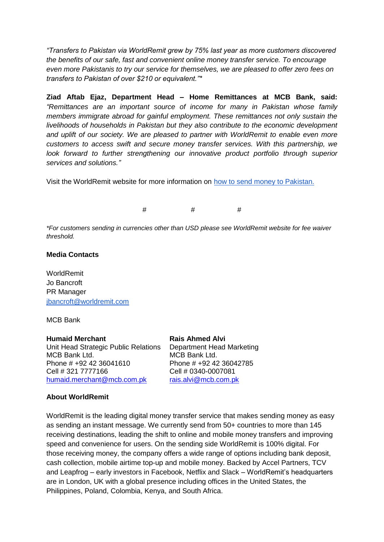*"Transfers to Pakistan via WorldRemit grew by 75% last year as more customers discovered the benefits of our safe, fast and convenient online money transfer service. To encourage even more Pakistanis to try our service for themselves, we are pleased to offer zero fees on transfers to Pakistan of over \$210 or equivalent."\**

**Ziad Aftab Ejaz, Department Head – Home Remittances at MCB Bank, said:**  *"Remittances are an important source of income for many in Pakistan whose family members immigrate abroad for gainful employment. These remittances not only sustain the livelihoods of households in Pakistan but they also contribute to the economic development and uplift of our society. We are pleased to partner with WorldRemit to enable even more customers to access swift and secure money transfer services. With this partnership, we look forward to further strengthening our innovative product portfolio through superior services and solutions."*

Visit the WorldRemit website for more information on [how to send money to Pakistan.](https://www.worldremit.com/en/Pakistan)

# # #

*\*For customers sending in currencies other than USD please see WorldRemit website for fee waiver threshold.*

### **Media Contacts**

WorldRemit Jo Bancroft PR Manager [jbancroft@worldremit.com](mailto:jbancroft@worldremit.com)

#### MCB Bank

**Humaid Merchant Rais Ahmed Alvi** Unit Head Strategic Public Relations Department Head Marketing MCB Bank Ltd. Phone # +92 42 36041610 Phone # +92 42 36042785 Cell # 321 7777166 Cell # 0340-0007081 [humaid.merchant@mcb.com.pk](mailto:humaid.merchant@mcb.com.pk) [rais.alvi@mcb.com.pk](mailto:rais.alvi@mcb.com.pk)

MCB Bank Ltd.

## **About WorldRemit**

WorldRemit is the leading digital money transfer service that makes sending money as easy as sending an instant message. We currently send from 50+ countries to more than 145 receiving destinations, leading the shift to online and mobile money transfers and improving speed and convenience for users. On the sending side WorldRemit is 100% digital. For those receiving money, the company offers a wide range of options including bank deposit, cash collection, mobile airtime top-up and mobile money. Backed by Accel Partners, TCV and Leapfrog – early investors in Facebook, Netflix and Slack – WorldRemit's headquarters are in London, UK with a global presence including offices in the United States, the Philippines, Poland, Colombia, Kenya, and South Africa.